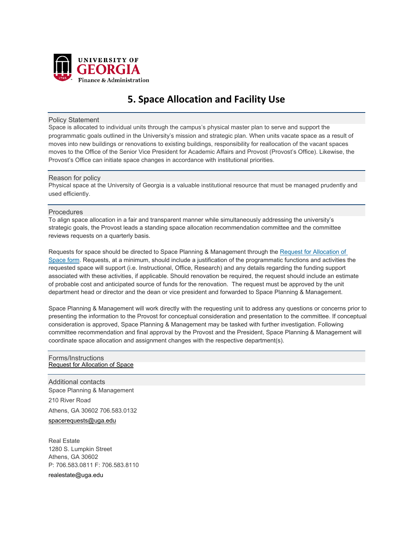

# **5. Space Allocation and Facility Use**

#### Policy Statement

Space is allocated to individual units through the campus's physical master plan to serve and support the programmatic goals outlined in the University's mission and strategic plan. When units vacate space as a result of moves into new buildings or renovations to existing buildings, responsibility for reallocation of the vacant spaces moves to the Office of the Senior Vice President for Academic Affairs and Provost (Provost's Office). Likewise, the Provost's Office can initiate space changes in accordance with institutional priorities.

#### Reason for policy

Physical space at the University of Georgia is a valuable institutional resource that must be managed prudently and used efficiently.

#### **Procedures**

To align space allocation in a fair and transparent manner while simultaneously addressing the university's strategic goals, the Provost leads a standing space allocation recommendation committee and the committee reviews requests on a quarterly basis.

Requests for space should be directed to Space Planning & Management through the Request for Allocation of [Space form.](https://forms.gle/EKrFgBRwCeTP5XV57) Requests, at a minimum, should include a justification of the programmatic functions and activities the requested space will support (i.e. Instructional, Office, Research) and any details regarding the funding support associated with these activities, if applicable. Should renovation be required, the request should include an estimate of probable cost and anticipated source of funds for the renovation. The request must be approved by the unit department head or director and the dean or vice president and forwarded to Space Planning & Management.

Space Planning & Management will work directly with the requesting unit to address any questions or concerns prior to presenting the information to the Provost for conceptual consideration and presentation to the committee. If conceptual consideration is approved, Space Planning & Management may be tasked with further investigation. Following committee recommendation and final approval by the Provost and the President, Space Planning & Management will coordinate space allocation and assignment changes with the respective department(s).

#### [Request for Allocation of Space](http://www.busfin.uga.edu/resm/Request_for_Allocation_of_Space.pdf) Forms/Instructions

Space Planning & Management Additional contacts

210 River Road Athens, GA 30602 706.583.0132

## [spacerequests@uga.edu](mailto:spacerequests@uga.edu)

[Real Estate](mailto:spacerequests@uga.edu) 1280 S. Lumpkin Street Athens, GA 30602 P: 706.583.0811 F: 706.583.8110 [realestate@uga.edu](mailto:realestate@uga.edu)